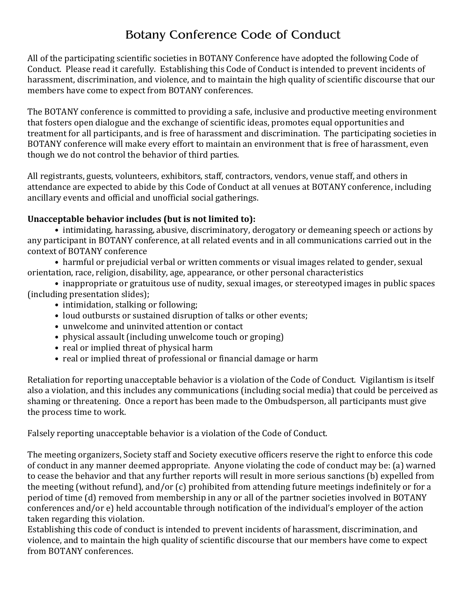# Botany Conference Code of Conduct

All of the participating scientific societies in BOTANY Conference have adopted the following Code of Conduct. Please read it carefully. Establishing this Code of Conduct is intended to prevent incidents of harassment, discrimination, and violence, and to maintain the high quality of scientific discourse that our members have come to expect from BOTANY conferences.

The BOTANY conference is committed to providing a safe, inclusive and productive meeting environment that fosters open dialogue and the exchange of scientific ideas, promotes equal opportunities and treatment for all participants, and is free of harassment and discrimination. The participating societies in BOTANY conference will make every effort to maintain an environment that is free of harassment, even though we do not control the behavior of third parties.

All registrants, guests, volunteers, exhibitors, staff, contractors, vendors, venue staff, and others in attendance are expected to abide by this Code of Conduct at all venues at BOTANY conference, including ancillary events and official and unofficial social gatherings.

### Unacceptable behavior includes (but is not limited to):

• intimidating, harassing, abusive, discriminatory, derogatory or demeaning speech or actions by any participant in BOTANY conference, at all related events and in all communications carried out in the context of BOTANY conference

• harmful or prejudicial verbal or written comments or visual images related to gender, sexual orientation, race, religion, disability, age, appearance, or other personal characteristics

- inappropriate or gratuitous use of nudity, sexual images, or stereotyped images in public spaces (including presentation slides);
	- intimidation, stalking or following;
	- loud outbursts or sustained disruption of talks or other events:
	- unwelcome and uninvited attention or contact
	- physical assault (including unwelcome touch or groping)
	- real or implied threat of physical harm
	- real or implied threat of professional or financial damage or harm

Retaliation for reporting unacceptable behavior is a violation of the Code of Conduct. Vigilantism is itself also a violation, and this includes any communications (including social media) that could be perceived as shaming or threatening. Once a report has been made to the Ombudsperson, all participants must give the process time to work.

Falsely reporting unacceptable behavior is a violation of the Code of Conduct.

The meeting organizers, Society staff and Society executive officers reserve the right to enforce this code of conduct in any manner deemed appropriate. Anyone violating the code of conduct may be: (a) warned to cease the behavior and that any further reports will result in more serious sanctions (b) expelled from the meeting (without refund), and/or  $(c)$  prohibited from attending future meetings indefinitely or for a period of time (d) removed from membership in any or all of the partner societies involved in BOTANY conferences and/or e) held accountable through notification of the individual's employer of the action taken regarding this violation.

Establishing this code of conduct is intended to prevent incidents of harassment, discrimination, and violence, and to maintain the high quality of scientific discourse that our members have come to expect from BOTANY conferences.